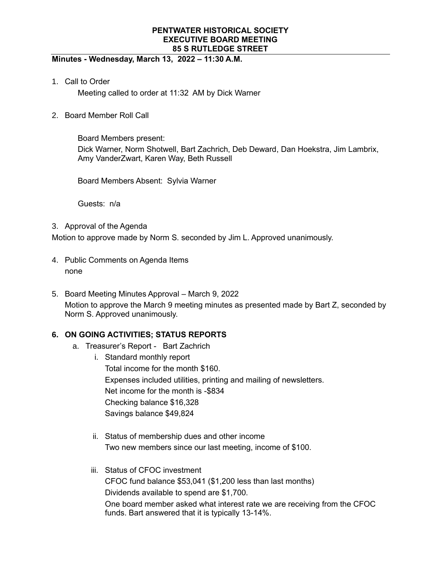## **Minutes - Wednesday, March 13, 2022 – 11:30 A.M.**

1. Call to Order

Meeting called to order at 11:32 AM by Dick Warner

2. Board Member Roll Call

Board Members present: Dick Warner, Norm Shotwell, Bart Zachrich, Deb Deward, Dan Hoekstra, Jim Lambrix, Amy VanderZwart, Karen Way, Beth Russell

Board Members Absent: Sylvia Warner

Guests: n/a

3. Approval of the Agenda

Motion to approve made by Norm S. seconded by Jim L. Approved unanimously.

- 4. Public Comments on Agenda Items none
- 5. Board Meeting Minutes Approval March 9, 2022 Motion to approve the March 9 meeting minutes as presented made by Bart Z, seconded by Norm S. Approved unanimously.

# **6. ON GOING ACTIVITIES; STATUS REPORTS**

- a. Treasurer's Report Bart Zachrich
	- i. Standard monthly report Total income for the month \$160. Expenses included utilities, printing and mailing of newsletters. Net income for the month is -\$834 Checking balance \$16,328 Savings balance \$49,824
	- ii. Status of membership dues and other income Two new members since our last meeting, income of \$100.
	- iii. Status of CFOC investment CFOC fund balance \$53,041 (\$1,200 less than last months) Dividends available to spend are \$1,700. One board member asked what interest rate we are receiving from the CFOC funds. Bart answered that it is typically 13-14%.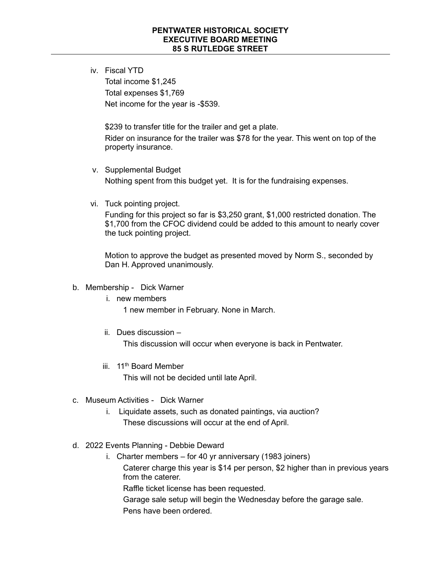iv. Fiscal YTD

Total income \$1,245 Total expenses \$1,769 Net income for the year is -\$539.

\$239 to transfer title for the trailer and get a plate. Rider on insurance for the trailer was \$78 for the year. This went on top of the property insurance.

- v. Supplemental Budget Nothing spent from this budget yet. It is for the fundraising expenses.
- vi. Tuck pointing project.

Funding for this project so far is \$3,250 grant, \$1,000 restricted donation. The \$1,700 from the CFOC dividend could be added to this amount to nearly cover the tuck pointing project.

Motion to approve the budget as presented moved by Norm S., seconded by Dan H. Approved unanimously.

### b. Membership - Dick Warner

i. new members

1 new member in February. None in March.

ii. Dues discussion –

This discussion will occur when everyone is back in Pentwater.

iii. 11<sup>th</sup> Board Member

This will not be decided until late April.

- c. Museum Activities Dick Warner
	- i. Liquidate assets, such as donated paintings, via auction? These discussions will occur at the end of April.
- d. 2022 Events Planning Debbie Deward
	- i. Charter members for 40 yr anniversary (1983 joiners) Caterer charge this year is \$14 per person, \$2 higher than in previous years from the caterer. Raffle ticket license has been requested. Garage sale setup will begin the Wednesday before the garage sale.

Pens have been ordered.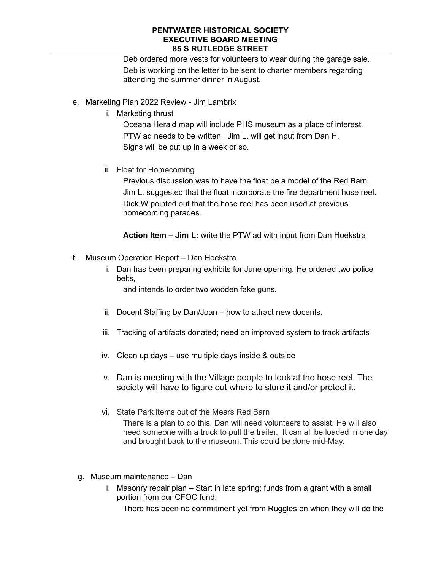Deb ordered more vests for volunteers to wear during the garage sale. Deb is working on the letter to be sent to charter members regarding attending the summer dinner in August.

- e. Marketing Plan 2022 Review Jim Lambrix
	- i. Marketing thrust

Oceana Herald map will include PHS museum as a place of interest. PTW ad needs to be written. Jim L. will get input from Dan H. Signs will be put up in a week or so.

ii. Float for Homecoming

Previous discussion was to have the float be a model of the Red Barn. Jim L. suggested that the float incorporate the fire department hose reel. Dick W pointed out that the hose reel has been used at previous homecoming parades.

**Action Item – Jim L:** write the PTW ad with input from Dan Hoekstra

- f. Museum Operation Report Dan Hoekstra
	- i. Dan has been preparing exhibits for June opening. He ordered two police belts,

and intends to order two wooden fake guns.

- ii. Docent Staffing by Dan/Joan how to attract new docents.
- iii. Tracking of artifacts donated; need an improved system to track artifacts
- iv. Clean up days use multiple days inside & outside
- v. Dan is meeting with the Village people to look at the hose reel. The society will have to figure out where to store it and/or protect it.
- vi. State Park items out of the Mears Red Barn

There is a plan to do this. Dan will need volunteers to assist. He will also need someone with a truck to pull the trailer. It can all be loaded in one day and brought back to the museum. This could be done mid-May.

- g. Museum maintenance Dan
	- i. Masonry repair plan Start in late spring; funds from a grant with a small portion from our CFOC fund.

There has been no commitment yet from Ruggles on when they will do the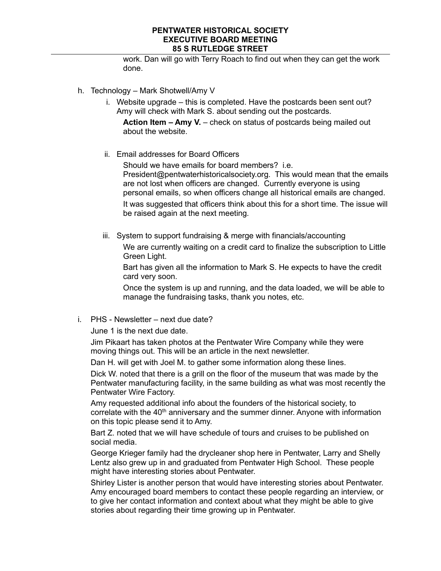work. Dan will go with Terry Roach to find out when they can get the work done.

- h. Technology Mark Shotwell/Amy V
	- i. Website upgrade this is completed. Have the postcards been sent out? Amy will check with Mark S. about sending out the postcards.

**Action Item – Amy V.** – check on status of postcards being mailed out about the website.

ii. Email addresses for Board Officers

Should we have emails for board members? i.e. President@pentwaterhistoricalsociety.org. This would mean that the emails are not lost when officers are changed. Currently everyone is using personal emails, so when officers change all historical emails are changed. It was suggested that officers think about this for a short time. The issue will be raised again at the next meeting.

iii. System to support fundraising & merge with financials/accounting

We are currently waiting on a credit card to finalize the subscription to Little Green Light.

Bart has given all the information to Mark S. He expects to have the credit card very soon.

Once the system is up and running, and the data loaded, we will be able to manage the fundraising tasks, thank you notes, etc.

i. PHS - Newsletter – next due date?

June 1 is the next due date.

Jim Pikaart has taken photos at the Pentwater Wire Company while they were moving things out. This will be an article in the next newsletter.

Dan H. will get with Joel M. to gather some information along these lines.

Dick W. noted that there is a grill on the floor of the museum that was made by the Pentwater manufacturing facility, in the same building as what was most recently the Pentwater Wire Factory.

Amy requested additional info about the founders of the historical society, to correlate with the  $40<sup>th</sup>$  anniversary and the summer dinner. Anyone with information on this topic please send it to Amy.

Bart Z. noted that we will have schedule of tours and cruises to be published on social media.

George Krieger family had the drycleaner shop here in Pentwater, Larry and Shelly Lentz also grew up in and graduated from Pentwater High School. These people might have interesting stories about Pentwater.

Shirley Lister is another person that would have interesting stories about Pentwater. Amy encouraged board members to contact these people regarding an interview, or to give her contact information and context about what they might be able to give stories about regarding their time growing up in Pentwater.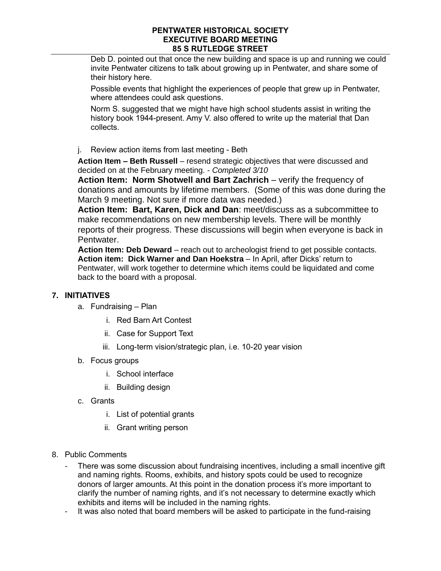Deb D. pointed out that once the new building and space is up and running we could invite Pentwater citizens to talk about growing up in Pentwater, and share some of their history here.

Possible events that highlight the experiences of people that grew up in Pentwater, where attendees could ask questions.

Norm S. suggested that we might have high school students assist in writing the history book 1944-present. Amy V. also offered to write up the material that Dan collects.

j. Review action items from last meeting - Beth

**Action Item – Beth Russell** – resend strategic objectives that were discussed and decided on at the February meeting. - *Completed 3/10*

**Action Item: Norm Shotwell and Bart Zachrich** – verify the frequency of donations and amounts by lifetime members. (Some of this was done during the March 9 meeting. Not sure if more data was needed.)

**Action Item: Bart, Karen, Dick and Dan**: meet/discuss as a subcommittee to make recommendations on new membership levels. There will be monthly reports of their progress. These discussions will begin when everyone is back in Pentwater.

**Action Item: Deb Deward** – reach out to archeologist friend to get possible contacts. **Action item: Dick Warner and Dan Hoekstra** – In April, after Dicks' return to Pentwater, will work together to determine which items could be liquidated and come back to the board with a proposal.

# **7. INITIATIVES**

- a. Fundraising Plan
	- i. Red Barn Art Contest
	- ii. Case for Support Text
	- iii. Long-term vision/strategic plan, i.e. 10-20 year vision
- b. Focus groups
	- i. School interface
	- ii. Building design
- c. Grants
	- i. List of potential grants
	- ii. Grant writing person
- 8. Public Comments
	- There was some discussion about fundraising incentives, including a small incentive gift and naming rights. Rooms, exhibits, and history spots could be used to recognize donors of larger amounts. At this point in the donation process it's more important to clarify the number of naming rights, and it's not necessary to determine exactly which exhibits and items will be included in the naming rights.
	- It was also noted that board members will be asked to participate in the fund-raising